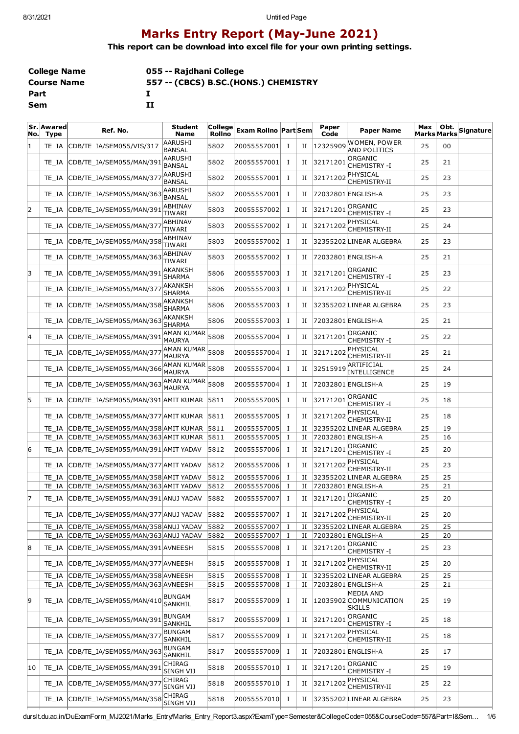## **Marks Entry Report (May-June 2021)**

**This report can be download into excel file for your own printing settings.**

| College Name       | 055 -- Rajdhani College              |
|--------------------|--------------------------------------|
| <b>Course Name</b> | 557 -- (CBCS) B.SC.(HONS.) CHEMISTRY |
| Part               |                                      |
| Sem                | п                                    |

| ΙNο. | Sr. Awared<br><b>Type</b> | Ref. No.                                 | <b>Student</b><br><b>Name</b>      | College<br><b>Rollno</b> | Exam Rollno   Part  Sem |             |          | Paper<br>Code | <b>Paper Name</b>                                    | Max<br>Marks Marks | Obt. | Signature |
|------|---------------------------|------------------------------------------|------------------------------------|--------------------------|-------------------------|-------------|----------|---------------|------------------------------------------------------|--------------------|------|-----------|
| 11   | TE IA                     | CDB/TE IA/SEM055/VIS/317                 | AARUSHI<br><b>BANSAL</b>           | 5802                     | 20055557001             | Ι.          | П        | 12325909      | WOMEN, POWER<br>AND POLITICS                         | 25                 | 00   |           |
|      | TE IA                     | CDB/TE IA/SEM055/MAN/39                  | AARUSHI<br><b>BANSAL</b>           | 5802                     | 20055557001             | 1           | п        | 32171201      | ORGANIC<br><b>CHEMISTRY -I</b>                       | 25                 | 21   |           |
|      | TE IA                     | CDB/TE_IA/SEM055/MAN/37                  | AARUSHI<br><b>BANSAL</b>           | 5802                     | 20055557001             | 1           | п        | 3217120       | PHYSICAL<br>CHEMISTRY-II                             | 25                 | 23   |           |
|      | TE IA                     | CDB/TE IA/SEM055/MAN/36                  | AARUSHI<br><b>BANSAL</b>           | 5802                     | 20055557001             | 1           | п        |               | 72032801 ENGLISH-A                                   | 25                 | 23   |           |
| 2    | TE IA                     | CDB/TE_IA/SEM055/MAN/39                  | <b>ABHINAV</b><br><b>TIWARI</b>    | 5803                     | 20055557002             | Ι.          | П        | 32171201      | ORGANIC<br><b>CHEMISTRY -I</b>                       | 25                 | 23   |           |
|      | TE IA                     | CDB/TE_IA/SEM055/MAN/37                  | <b>ABHINAV</b><br><b>TIWARI</b>    | 5803                     | 20055557002             | 1           | П        | 32171202      | PHYSICAL<br>CHEMISTRY-II                             | 25                 | 24   |           |
|      | TE IA                     | CDB/TE_IA/SEM055/MAN/358                 | <b>ABHINAV</b><br><b>TIWARI</b>    | 5803                     | 20055557002             | Ι.          | П        |               | 32355202 LINEAR ALGEBRA                              | 25                 | 23   |           |
|      | TE IA                     | CDB/TE_IA/SEM055/MAN/363                 | <b>ABHINAV</b><br><b>TIWARI</b>    | 5803                     | 20055557002             | Ι.          | п        |               | 72032801 ENGLISH-A                                   | 25                 | 21   |           |
| 3    | TE IA                     | CDB/TE_IA/SEM055/MAN/391                 | AKANKSH<br><b>SHARMA</b>           | 5806                     | 20055557003             | Ι.          | П        | 32171201      | ORGANIC<br><b>CHEMISTRY -I</b>                       | 25                 | 23   |           |
|      | TE_IA                     | CDB/TE IA/SEM055/MAN/371                 | AKANKSH<br><b>SHARMA</b>           | 5806                     | 20055557003             | Ι.          | п        | 32171202      | PHYSICAL<br>CHEMISTRY-II                             | 25                 | 22   |           |
|      | TE IA                     | CDB/TE IA/SEM055/MAN/358                 | AKANKSH<br><b>SHARMA</b>           | 5806                     | 20055557003             | 1           | н        |               | 32355202 LINEAR ALGEBRA                              | 25                 | 23   |           |
|      | TE IA                     | CDB/TE IA/SEM055/MAN/363                 | AKANKSH<br><b>SHARMA</b>           | 5806                     | 20055557003             | Ι.          | П        |               | 72032801 ENGLISH-A                                   | 25                 | 21   |           |
| 14   | TE IA                     | CDB/TE IA/SEM055/MAN/391                 | <b>AMAN KUMAR</b><br><b>MAURYA</b> | 5808                     | 20055557004             | Ι.          | П        | 32171201      | ORGANIC<br><b>CHEMISTRY -I</b>                       | 25                 | 22   |           |
|      | TE IA                     | CDB/TE IA/SEM055/MAN/377                 | <b>AMAN KUMAR</b><br><b>MAURYA</b> | 5808                     | 20055557004             | Ι.          | п        | 32171202      | PHYSICAL<br>CHEMISTRY-II                             | 25                 | 21   |           |
|      | TE IA                     | CDB/TE IA/SEM055/MAN/366                 | AMAN KUMAR<br><b>MAURYA</b>        | 5808                     | 20055557004             | Ι.          | п        | 32515919      | ARTIFICIAL<br>INTELLIGENCE                           | 25                 | 24   |           |
|      | TE IA                     | CDB/TE IA/SEM055/MAN/363                 | AMAN KUMAR<br><b>MAURYA</b>        | 5808                     | 20055557004             | I           | и        |               | 72032801 ENGLISH-A                                   | 25                 | 19   |           |
| 15   | TE IA                     | CDB/TE IA/SEM055/MAN/391 AMIT KUMAR      |                                    | 5811                     | 20055557005             | $\mathbf I$ | п        | 32171201      | ORGANIC<br><b>CHEMISTRY -I</b>                       | 25                 | 18   |           |
|      | TE IA                     | CDB/TE_IA/SEM055/MAN/377 AMIT KUMAR      |                                    | 5811                     | 20055557005             | Ι.          | и        | 32171202      | PHYSICAL<br><b>CHEMISTRY-II</b>                      | 25                 | 18   |           |
|      | TE IA                     | CDB/TE IA/SEM055/MAN/358 AMIT KUMAR      |                                    | 5811                     | 20055557005             | 1           | П        |               | 32355202 LINEAR ALGEBRA                              | 25                 | 19   |           |
|      | TE IA                     | CDB/TE_IA/SEM055/MAN/363 AMIT KUMAR      |                                    | 5811                     | 20055557005             | 1           | П        |               | 72032801 ENGLISH-A                                   | 25                 | 16   |           |
| 16   | TE IA                     | CDB/TE IA/SEM055/MAN/391 AMIT YADAV      |                                    | 5812                     | 20055557006             | Ι.          | П        | 32171201      | <b>ORGANIC</b><br><b>CHEMISTRY -I</b>                | 25                 | 20   |           |
|      | TE IA                     | CDB/TE IA/SEM055/MAN/377 AMIT YADAV      |                                    | 5812                     | 20055557006             | Ι.          | П        | 32171202      | PHYSICAL<br>CHEMISTRY-II                             | 25                 | 23   |           |
|      | TE IA                     | CDB/TE IA/SEM055/MAN/358 AMIT YADAV      |                                    | 5812                     | 20055557006             | 1           | П        |               | 32355202 LINEAR ALGEBRA                              | 25                 | 25   |           |
|      | TE IA                     | CDB/TE IA/SEM055/MAN/363 AMIT YADAV      |                                    | 5812                     | 20055557006             | 1           | П        |               | 72032801 ENGLISH-A                                   | 25                 | 21   |           |
| 17   | TE IA                     | CDB/TE_IA/SEM055/MAN/391 ANUJ YADAV      |                                    | 5882                     | 20055557007             | 1           | п        | 32171201      | ORGANIC<br><b>CHEMISTRY -I</b>                       | 25                 | 20   |           |
|      | TE_IA                     | CDB/TE_IA/SEM055/MAN/377 ANUJ YADAV 5882 |                                    |                          | 20055557007             |             | $\rm II$ | 32171202      | PHYSICAL<br><b>CHEMISTRY-II</b>                      | 25                 | 20   |           |
|      | TE IA                     | CDB/TE_IA/SEM055/MAN/358 ANUJ YADAV      |                                    | 5882                     | 20055557007             | 1           | н        |               | 32355202 LINEAR ALGEBRA                              | 25                 | 25   |           |
|      | TE_IA                     | CDB/TE_IA/SEM055/MAN/363 ANUJ YADAV      |                                    | 5882                     | 20055557007             | Ι.          | П        |               | 72032801 ENGLISH-A                                   | 25                 | 20   |           |
| 8    | TE IA                     | CDB/TE_IA/SEM055/MAN/391 AVNEESH         |                                    | 5815                     | 20055557008             | Ι.          | п        | 32171201      | ORGANIC<br>CHEMISTRY -I                              | 25                 | 23   |           |
|      | TE IA                     | CDB/TE_IA/SEM055/MAN/377 AVNEESH         |                                    | 5815                     | 20055557008             | 1           | П        | 32171202      | PHYSICAL<br>CHEMISTRY-II                             | 25                 | 20   |           |
|      | TE IA                     | CDB/TE_IA/SEM055/MAN/358 AVNEESH         |                                    | 5815                     | 20055557008             | 1           | П        |               | 32355202 LINEAR ALGEBRA                              | 25                 | 25   |           |
|      | TE IA                     | CDB/TE IA/SEM055/MAN/363 AVNEESH         |                                    | 5815                     | 20055557008             | Ι.          | П        |               | 72032801 ENGLISH-A                                   | 25                 | 21   |           |
| 9    | TE IA                     | CDB/TE_IA/SEM055/MAN/410 BUNGAM          | SANKHIL                            | 5817                     | 20055557009             | Ι.          | П        |               | <b>MEDIA AND</b><br>12035902 COMMUNICATION<br>SKILLS | 25                 | 19   |           |
|      | TE IA                     | CDB/TE_IA/SEM055/MAN/391                 | <b>BUNGAM</b><br><b>SANKHIL</b>    | 5817                     | 20055557009             | Ι.          | п        | 32171201      | ORGANIC<br>CHEMISTRY -I                              | 25                 | 18   |           |
|      | TE IA                     | CDB/TE_IA/SEM055/MAN/37                  | <b>BUNGAM</b><br>SANKHIL           | 5817                     | 20055557009             | Ι.          | п        | 32171202      | PHYSICAL<br>CHEMISTRY-II                             | 25                 | 18   |           |
|      | TE IA                     | CDB/TE_IA/SEM055/MAN/363                 | BUNGAM<br>SANKHIL                  | 5817                     | 20055557009             | Ι.          | П        |               | 72032801 ENGLISH-A                                   | 25                 | 17   |           |
| 10   | TE_IA                     | CDB/TE_IA/SEM055/MAN/391                 | <b>CHIRAG</b><br>SINGH VIJ         | 5818                     | 20055557010             | Ι.          | П        | 32171201      | ORGANIC<br>CHEMISTRY -I                              | 25                 | 19   |           |
|      | TE_IA                     | CDB/TE_IA/SEM055/MAN/371                 | <b>CHIRAG</b><br>SINGH VIJ         | 5818                     | 20055557010             | Ι.          | п        | 32171202      | PHYSICAL<br>CHEMISTRY-II                             | 25                 | 22   |           |
|      | TE_IA                     | CDB/TE_IA/SEM055/MAN/358                 | <b>CHIRAG</b><br>SINGH VIJ         | 5818                     | 20055557010             | Ι.          | н        |               | 32355202LINEAR ALGEBRA                               | 25                 | 23   |           |

durslt.du.ac.in/DuExamForm\_MJ2021/Marks\_Entry/Marks\_Entry\_Report3.aspx?ExamType=Semester&CollegeCode=055&CourseCode=557&Part=I&Sem… 1/6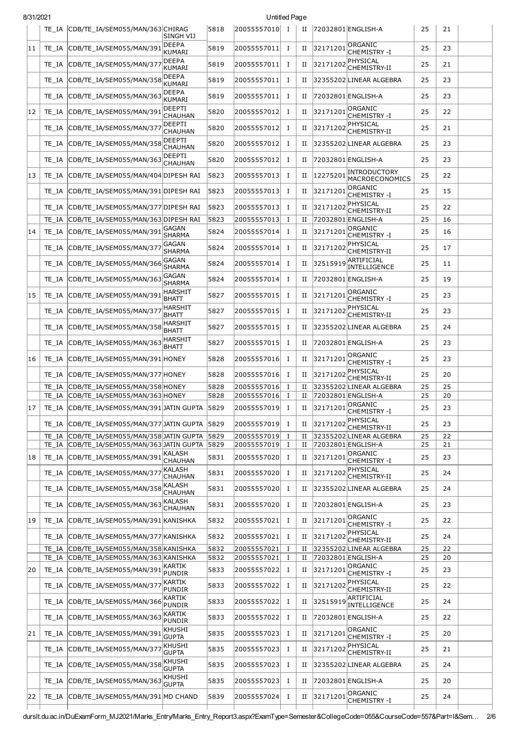| 8/31/2021 |       |                                            |                                |      |             | Untitled Page |             |          |                                          |    |    |  |
|-----------|-------|--------------------------------------------|--------------------------------|------|-------------|---------------|-------------|----------|------------------------------------------|----|----|--|
|           |       | TE_IA CDB/TE_IA/SEM055/MAN/363CHIRAG       | SINGH VIJ                      | 5818 | 20055557010 | Ι.            | п           |          | 72032801 ENGLISH-A                       | 25 | 21 |  |
| 11        | TE IA | CDB/TE IA/SEM055/MAN/39                    | <b>DEEPA</b><br>KUMARI         | 5819 | 20055557011 | Ι.            | п           | 32171201 | ORGANIC<br>CHEMISTRY -I                  | 25 | 23 |  |
|           | TE IA | CDB/TE IA/SEM055/MAN/37                    | <b>DEEPA</b><br>KUMARI         | 5819 | 20055557011 | Ι.            | и           | 32171202 | PHYSICAL<br>CHEMISTRY-II                 | 25 | 21 |  |
|           | TE IA | CDB/TE_IA/SEM055/MAN/358                   | <b>DEEPA</b><br>KUMARI         | 5819 | 20055557011 | Ι.            | н           |          | 32355202 LINEAR ALGEBRA                  | 25 | 23 |  |
|           | TE IA | CDB/TE IA/SEM055/MAN/363                   | <b>DEEPA</b><br>KUMARI         | 5819 | 20055557011 | Ι.            | п           |          | 72032801 ENGLISH-A                       | 25 | 23 |  |
| 12        | TE IA | CDB/TE_IA/SEM055/MAN/39                    | DEEPTI<br>CHAUHAN              | 5820 | 20055557012 | Ι             | н           | 3217120: | ORGANIC<br>CHEMISTRY -I                  | 25 | 22 |  |
|           | TE IA | CDB/TE_IA/SEM055/MAN/37                    | DEEPTI<br><b>CHAUHAN</b>       | 5820 | 20055557012 | Ι.            | н           | 32171202 | PHYSICAL<br>CHEMISTRY-II                 | 25 | 21 |  |
|           | TE IA | CDB/TE_IA/SEM055/MAN/358                   | DEEPTI<br><b>CHAUHAN</b>       | 5820 | 20055557012 | Ι.            | н           |          | 32355202 LINEAR ALGEBRA                  | 25 | 23 |  |
|           | TE IA | CDB/TE_IA/SEM055/MAN/363                   | DEEPTI<br>CHAUHAN              | 5820 | 20055557012 | Ι.            | п           |          | 72032801 ENGLISH-A                       | 25 | 23 |  |
| 13        | TE IA | CDB/TE_IA/SEM055/MAN/404 DIPESH RAI        |                                | 5823 | 20055557013 | Ι.            | и           | 12275201 | INTRODUCTORY<br>MACROECONOMICS           | 25 | 22 |  |
|           | TE IA | CDB/TE_IA/SEM055/MAN/391 DIPESH RAI        |                                | 5823 | 20055557013 | Ι.            | п           | 32171201 | ORGANIC<br>CHEMISTRY -I                  | 25 | 15 |  |
|           | TE IA | CDB/TE_IA/SEM055/MAN/377 DIPESH RAI        |                                | 5823 | 20055557013 | Ι.            | п           | 32171202 | PHYSICAL<br>CHEMISTRY-II                 | 25 | 22 |  |
|           | TE IA | CDB/TE_IA/SEM055/MAN/363 DIPESH RAI        |                                | 5823 | 20055557013 | Ι.            | п           |          | 72032801 ENGLISH-A                       | 25 | 16 |  |
| 14        | TE IA | CDB/TE IA/SEM055/MAN/391                   | GAGAN<br><b>SHARMA</b>         | 5824 | 20055557014 | Ι.            | и           | 32171201 | ORGANIC<br>CHEMISTRY -I                  | 25 | 16 |  |
|           | TE IA | CDB/TE IA/SEM055/MAN/37                    | <b>GAGAN</b><br>SHARMA         | 5824 | 20055557014 | Ι.            | н           | 32171202 | PHYSICAL<br>CHEMISTRY-II                 | 25 | 17 |  |
|           | TE IA | CDB/TE_IA/SEM055/MAN/366                   | GAGAN<br><b>SHARMA</b>         | 5824 | 20055557014 | Ι.            | и           | 32515919 | <b>ARTIFICIAL</b><br><b>INTELLIGENCE</b> | 25 | 11 |  |
|           | TE IA | CDB/TE_IA/SEM055/MAN/363                   | GAGAN<br>SHARMA                | 5824 | 20055557014 | Ι.            | п           |          | 72032801 ENGLISH-A                       | 25 | 19 |  |
| 15        | TE IA | CDB/TE_IA/SEM055/MAN/391                   | HARSHIT<br><b>BHATT</b>        | 5827 | 20055557015 | Ι.            | и           | 32171201 | ORGANIC<br><b>CHEMISTRY -I</b>           | 25 | 23 |  |
|           | TE IA | CDB/TE_IA/SEM055/MAN/37                    | HARSHIT<br><b>BHATT</b>        | 5827 | 20055557015 | Ι.            | н           | 32171202 | PHYSICAL<br>CHEMISTRY-II                 | 25 | 23 |  |
|           | TE IA | CDB/TE_IA/SEM055/MAN/358                   | <b>HARSHIT</b><br><b>BHATT</b> | 5827 | 20055557015 | Ι.            | п           |          | 32355202 LINEAR ALGEBRA                  | 25 | 24 |  |
|           | TE IA | CDB/TE_IA/SEM055/MAN/363                   | HARSHIT<br>BHATT               | 5827 | 20055557015 | Ι.            | п           |          | 72032801 ENGLISH-A                       | 25 | 23 |  |
| 16        | TE IA | CDB/TE IA/SEM055/MAN/391 HONEY             |                                | 5828 | 20055557016 | Ι.            | п           | 32171201 | ORGANIC<br>CHEMISTRY -I                  | 25 | 23 |  |
|           | TE IA | CDB/TE_IA/SEM055/MAN/377 HONEY             |                                | 5828 | 20055557016 | Ι.            | п           | 32171202 | PHYSICAL<br>CHEMISTRY-II                 | 25 | 20 |  |
|           | TE IA | CDB/TE_IA/SEM055/MAN/358 HONEY             |                                | 5828 | 20055557016 | 1             | П           |          | 32355202 LINEAR ALGEBRA                  | 25 | 25 |  |
|           | TE IA | CDB/TE_IA/SEM055/MAN/363 HONEY             |                                | 5828 | 20055557016 | $\bf{I}$      | $_{\rm II}$ |          | 72032801 ENGLISH-A                       | 25 | 20 |  |
| 17        | TE IA | CDB/TE_IA/SEM055/MAN/391 JATIN GUPTA  5829 |                                |      | 20055557019 | Ι.            | и           | 32171201 | ORGANIC<br><b>CHEMISTRY -I</b>           | 25 | 23 |  |
|           | TE IA | CDB/TE IA/SEM055/MAN/377 JATIN GUPTA       |                                | 5829 | 20055557019 | Ι.            | П           | 32171202 | PHYSICAL<br>CHEMISTRY-II                 | 25 | 23 |  |
|           | TE IA | CDB/TE IA/SEM055/MAN/358 JATIN GUPTA       |                                | 5829 | 20055557019 | 1             | и           |          | 32355202 LINEAR ALGEBRA                  | 25 | 22 |  |
|           | TE IA | CDB/TE IA/SEM055/MAN/363 JATIN GUPTA       | KALASH                         | 5829 | 20055557019 | Ι.            | и           |          | 72032801 ENGLISH-A<br>ORGANIC            | 25 | 21 |  |
| 18        | TE IA | CDB/TE_IA/SEM055/MAN/391                   | CHAUHAN<br>KALASH              | 5831 | 20055557020 | Ι             | п           | 32171201 | CHEMISTRY -I<br>PHYSICAL                 | 25 | 23 |  |
|           | TE IA | CDB/TE_IA/SEM055/MAN/37                    | CHAUHAN<br>KALASH              | 5831 | 20055557020 | Ι.            | и           | 32171202 | CHEMISTRY-II                             | 25 | 24 |  |
|           | TE IA | CDB/TE_IA/SEM055/MAN/358                   | CHAUHAN                        | 5831 | 20055557020 | Ι.            | и           |          | 32355202LINEAR ALGEBRA                   | 25 | 24 |  |
|           | TE IA | CDB/TE_IA/SEM055/MAN/363                   | KALASH<br><b>CHAUHAN</b>       | 5831 | 20055557020 | Ι.            | и           |          | 72032801 ENGLISH-A                       | 25 | 23 |  |
| 19        | TE IA | CDB/TE_IA/SEM055/MAN/391 KANISHKA          |                                | 5832 | 20055557021 | Ι.            | и           | 32171201 | ORGANIC<br>CHEMISTRY -I                  | 25 | 22 |  |
|           | TE IA | CDB/TE_IA/SEM055/MAN/377 KANISHKA          |                                | 5832 | 20055557021 | Ι             | и           | 32171202 | PHYSICAL<br>CHEMISTRY-II                 | 25 | 24 |  |
|           | TE IA | CDB/TE_IA/SEM055/MAN/358 KANISHKA          |                                | 5832 | 20055557021 | 1             | П           |          | 32355202LINEAR ALGEBRA                   | 25 | 22 |  |
|           | TE IA | CDB/TE_IA/SEM055/MAN/363 KANISHKA          |                                | 5832 | 20055557021 | Ι.            | H           |          | 72032801 ENGLISH-A                       | 25 | 20 |  |
| 20        | TE IA | CDB/TE_IA/SEM055/MAN/391                   | <b>KARTIK</b><br>PUNDIR        | 5833 | 20055557022 | Ι.            | и           | 32171201 | ORGANIC<br>CHEMISTRY -I                  | 25 | 23 |  |
|           | TE IA | CDB/TE_IA/SEM055/MAN/377                   | <b>KARTIK</b><br><b>PUNDIR</b> | 5833 | 20055557022 | Ι.            | н           | 32171202 | PHYSICAL<br>CHEMISTRY-II                 | 25 | 22 |  |
|           | TE IA | CDB/TE_IA/SEM055/MAN/366                   | <b>KARTIK</b><br>PUNDIR        | 5833 | 20055557022 | 1             | п           | 32515919 | ARTIFICIAL<br>INTELLIGENCE               | 25 | 24 |  |
|           | TE IA | CDB/TE_IA/SEM055/MAN/363                   | <b>KARTIK</b><br><b>PUNDIR</b> | 5833 | 20055557022 | Ι.            | п           |          | 72032801 ENGLISH-A                       | 25 | 22 |  |
| 21        | TE_IA | CDB/TE_IA/SEM055/MAN/391                   | KHUSHI<br><b>GUPTA</b>         | 5835 | 20055557023 | Ι             | п           | 32171201 | ORGANIC<br>CHEMISTRY -I                  | 25 | 20 |  |
|           | TE IA | CDB/TE_IA/SEM055/MAN/37                    | KHUSHI<br><b>GUPTA</b>         | 5835 | 20055557023 | Ι.            | п           | 32171202 | PHYSICAL<br>CHEMISTRY-II                 | 25 | 21 |  |
|           | TE IA | CDB/TE_IA/SEM055/MAN/358                   | KHUSHI<br><b>GUPTA</b>         | 5835 | 20055557023 | Ι.            | п           |          | 32355202 LINEAR ALGEBRA                  | 25 | 24 |  |
|           | TE IA | CDB/TE_IA/SEM055/MAN/363                   | KHUSHI<br><b>GUPTA</b>         | 5835 | 20055557023 | Ι.            | н           |          | 72032801 ENGLISH-A                       | 25 | 20 |  |
| 22        | TE_IA | CDB/TE_IA/SEM055/MAN/391 MD CHAND          |                                | 5839 | 20055557024 | 1             | П           | 32171201 | ORGANIC<br>CHEMISTRY -I                  | 25 | 24 |  |

durslt.du.ac.in/DuExamForm\_MJ2021/Marks\_Entry/Marks\_Entry\_Report3.aspx?ExamType=Semester&CollegeCode=055&CourseCode=557&Part=I&Sem… 2/6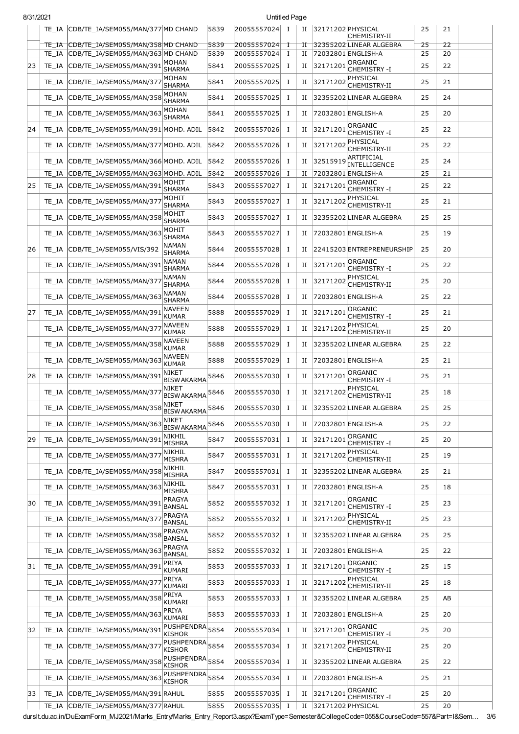| 8/31/2021 |                |                                                               |                                     |              |                            | <b>Untitled Page</b> |        |                   |                                                 |          |          |  |
|-----------|----------------|---------------------------------------------------------------|-------------------------------------|--------------|----------------------------|----------------------|--------|-------------------|-------------------------------------------------|----------|----------|--|
|           | TE IA          | CDB/TE IA/SEM055/MAN/377 MD CHAND                             |                                     | 5839         | 20055557024 I              |                      | П      | 32171202 PHYSICAL | <b>CHEMISTRY-II</b>                             | 25       | 21       |  |
|           | TE IA          | CDB/TE_IA/SEM055/MAN/358 MD CHAND                             |                                     | 5839         | 20055557024                | ┱                    | Ħ      |                   | 32355202 LINEAR ALGEBRA                         | 25       | 22       |  |
| 23        | TE IA<br>TE IA | CDB/TE IA/SEM055/MAN/363 MD CHAND<br>CDB/TE IA/SEM055/MAN/391 | MOHAN                               | 5839<br>5841 | 20055557024<br>20055557025 | Ι.<br>Ι              | П<br>П | 32171201          | 72032801 ENGLISH-A<br>ORGANIC                   | 25<br>25 | 20<br>22 |  |
|           | TE IA          | CDB/TE IA/SEM055/MAN/371                                      | SHARMA<br>MOHAN<br>SHARMA           | 5841         | 20055557025                | Ι.                   | П      | 32171202          | CHEMISTRY -I<br>PHYSICAL<br><b>CHEMISTRY-II</b> | 25       | 21       |  |
|           | TE IA          | CDB/TE_IA/SEM055/MAN/358                                      | MOHAN<br>SHARMA                     | 5841         | 20055557025                | Ι.                   | П      |                   | 32355202 LINEAR ALGEBRA                         | 25       | 24       |  |
|           | TE IA          | CDB/TE IA/SEM055/MAN/363                                      | MOHAN<br>SHARMA                     | 5841         | 20055557025                | Ι.                   | П      |                   | 72032801 ENGLISH-A                              | 25       | 20       |  |
| 24        | TE IA          | CDB/TE IA/SEM055/MAN/391 MOHD.ADIL                            |                                     | 5842         | 20055557026                | Ι.                   | П      | 32171201          | <b>ORGANIC</b><br><b>CHEMISTRY -I</b>           | 25       | 22       |  |
|           | TE IA          | CDB/TE IA/SEM055/MAN/377 MOHD. ADIL                           |                                     | 5842         | 20055557026                | $\mathbf I$          | П      | 32171202          | PHYSICAL<br>CHEMISTRY-II                        | 25       | 22       |  |
|           | TE IA          | CDB/TE IA/SEM055/MAN/366 MOHD. ADIL                           |                                     | 5842         | 20055557026                | Ι.                   | П      | 32515919          | ARTIFICIAL<br>INTELLIGENCE                      | 25       | 24       |  |
|           | TE IA          | CDB/TE IA/SEM055/MAN/363 MOHD. ADIL                           |                                     | 5842         | 20055557026                | <b>I</b>             | П      |                   | 72032801 ENGLISH-A                              | 25       | 21       |  |
| 25        | TE IA          | CDB/TE IA/SEM055/MAN/391                                      | MOHIT                               | 5843         | 20055557027                | Ι.                   | П      | 32171201          | ORGANIC                                         | 25       | 22       |  |
|           | TE IA          | CDB/TE IA/SEM055/MAN/377                                      | <b>SHARMA</b><br>MOHIT              | 5843         | 20055557027                | Ι.                   | П      | 32171202          | <b>CHEMISTRY -I</b><br>PHYSICAL                 | 25       | 21       |  |
|           | TE IA          | CDB/TE IA/SEM055/MAN/358                                      | <b>SHARMA</b><br>MOHIT              | 5843         | 20055557027                | Ι.                   | П      |                   | CHEMISTRY-II<br>32355202 LINEAR ALGEBRA         | 25       | 25       |  |
|           | TE IA          | CDB/TE_IA/SEM055/MAN/363                                      | <b>SHARMA</b><br>MOHIT              | 5843         | 20055557027                | <b>I</b>             | П      |                   | 72032801 ENGLISH-A                              | 25       | 19       |  |
|           |                |                                                               | <b>SHARMA</b><br><b>NAMAN</b>       |              |                            |                      |        |                   |                                                 |          |          |  |
| 26        | TE IA          | CDB/TE_IA/SEM055/VIS/392<br>CDB/TE_IA/SEM055/MAN/391          | SHARMA<br><b>NAMAN</b>              | 5844<br>5844 | 20055557028                | Ι.                   | П      |                   | 22415203 ENTREPRENEURSHIP<br><b>ORGANIC</b>     | 25<br>25 | 20       |  |
|           | TE IA          |                                                               | SHARMA<br><b>NAMAN</b>              |              | 20055557028                | Ι.                   | П      | 32171201          | <b>CHEMISTRY -I</b><br>PHYSICAL                 |          | 22       |  |
|           | TE IA          | CDB/TE IA/SEM055/MAN/377                                      | SHARMA<br><b>NAMAN</b>              | 5844         | 20055557028                | Ι.                   | П      | 32171202          | CHEMISTRY-II                                    | 25       | 20       |  |
|           | TE IA          | CDB/TE IA/SEM055/MAN/363                                      | SHARMA<br><b>NAVEEN</b>             | 5844         | 20055557028                | Ι.                   | П      |                   | 72032801 ENGLISH-A<br> ORGANIC                  | 25       | 22       |  |
| 27        | TE IA          | CDB/TE_IA/SEM055/MAN/391                                      | <b>KUMAR</b><br><b>NAVEEN</b>       | 5888         | 20055557029                | Ι.                   | П      | 3217120:          | <b>CHEMISTRY -I</b><br>PHYSICAL                 | 25       | 21       |  |
|           | TE IA          | CDB/TE IA/SEM055/MAN/37                                       | <b>KUMAR</b><br>NAVEEN              | 5888<br>5888 | 20055557029                | Ι.<br>Ι.             | п<br>и | 3217120           | <b>CHEMISTRY-II</b>                             | 25<br>25 | 20<br>22 |  |
|           | TE IA          | CDB/TE_IA/SEM055/MAN/358                                      | <b>KUMAR</b><br>NAVEEN              |              | 20055557029                |                      |        |                   | 32355202 LINEAR ALGEBRA                         |          |          |  |
|           | TE IA          | CDB/TE_IA/SEM055/MAN/363                                      | <b>KUMAR</b><br>NIKET               | 5888         | 20055557029                | Ι.                   | н      |                   | 72032801 ENGLISH-A<br> ORGANIC                  | 25       | 21       |  |
| 28        | TE IA          | CDB/TE IA/SEM055/MAN/391<br>CDB/TE IA/SEM055/MAN/377          | <b>BISWAKARMA</b><br>NIKET          | 5846<br>5846 | 20055557030<br>20055557030 | Ι.<br>Ι.             | П<br>П | 3217120:          | <b>CHEMISTRY -I</b><br>PHYSICAL                 | 25<br>25 | 21<br>18 |  |
|           | TE IA<br>TE IA | CDB/TE IA/SEM055/MAN/358                                      | <b>BISWAKARMA</b><br> NIKET         |              | 20055557030                | Ι.                   |        | 3217120           | <b>CHEMISTRY-II</b>                             | 25       | 25       |  |
|           | TE IA          | CDB/TE_IA/SEM055/MAN/363                                      | BISWAKARMA <sup>5846</sup><br>NIKET | 5846         | 20055557030                | Ι.                   | П<br>П |                   | 32355202 LINEAR ALGEBRA<br>72032801 ENGLISH-A   | 25       | 22       |  |
| 29        | TE IA          | CDB/TE_IA/SEM055/MAN/391                                      | <b>BISWAKARMA</b><br>NIKHIL         | 5847         | 20055557031                | Ι.                   | П      | 32171201          | ORGANIC                                         | 25       | 20       |  |
|           | TE IA          | CDB/TE IA/SEM055/MAN/377                                      | <b>MISHRA</b><br>NIKHIL             | 5847         | 20055557031                | Ι.                   | П      | 32171202          | <b>CHEMISTRY -I</b><br>PHYSICAL                 | 25       | 19       |  |
|           |                |                                                               | <b>MISHRA</b><br>NIKHIL             |              |                            |                      |        |                   | CHEMISTRY-II                                    |          |          |  |
|           | TE IA          | CDB/TE_IA/SEM055/MAN/358                                      | <b>MISHRA</b><br>NIKHIL             | 5847         | 20055557031                | Ι.                   | П      |                   | 32355202 LINEAR ALGEBRA                         | 25       | 21       |  |
|           | TE IA          | CDB/TE_IA/SEM055/MAN/363                                      | <b>MISHRA</b><br>PRAGYA             | 5847         | 20055557031                | Ι.                   | П      |                   | 72032801 ENGLISH-A<br> ORGANIC                  | 25       | 18       |  |
| 30        | TE IA          | CDB/TE_IA/SEM055/MAN/391                                      | <b>BANSAL</b><br>PRAGYA             | 5852         | 20055557032                | Ι.                   | П      | 32171201          | <b>CHEMISTRY -I</b><br>PHYSICAL                 | 25       | 23       |  |
|           | TE IA          | CDB/TE_IA/SEM055/MAN/377                                      | <b>BANSAL</b><br>PRAGYA             | 5852         | 20055557032                | Ι.                   | П      | 32171202          | CHEMISTRY-II                                    | 25       | 23       |  |
|           | TE IA          | CDB/TE_IA/SEM055/MAN/358                                      | <b>BANSAL</b><br>PRAGYA             | 5852         | 20055557032                | Ι.                   | П      |                   | 32355202 LINEAR ALGEBRA                         | 25       | 25       |  |
|           | TE IA          | CDB/TE_IA/SEM055/MAN/363                                      | <b>BANSAL</b><br>PRIYA              | 5852         | 20055557032                | Ι.                   | П      |                   | 72032801 ENGLISH-A<br>ORGANIC                   | 25       | 22       |  |
| 31        | TE IA          | CDB/TE_IA/SEM055/MAN/391                                      | KUMARI<br>PRIYA                     | 5853         | 20055557033                | Ι.                   | П      | 32171201          | <b>CHEMISTRY -I</b><br>PHYSICAL                 | 25       | 15       |  |
|           | TE IA          | CDB/TE_IA/SEM055/MAN/377                                      | <b>KUMARI</b><br><b>PRIYA</b>       | 5853         | 20055557033                | Ι.                   | П      | 32171202          | CHEMISTRY-II                                    | 25       | 18       |  |
|           | TE IA          | CDB/TE_IA/SEM055/MAN/358                                      | <b>KUMARI</b><br><b>PRIYA</b>       | 5853         | 20055557033                | Ι.                   | П      |                   | 32355202 LINEAR ALGEBRA                         | 25       | AB       |  |
|           | TE IA          | CDB/TE_IA/SEM055/MAN/363                                      | <b>KUMARI</b>                       | 5853         | 20055557033                | Ι.                   | П      |                   | 72032801 ENGLISH-A<br>ORGANIC                   | 25       | 20       |  |
| 32        | TE IA          | CDB/TE_IA/SEM055/MAN/391                                      | PUSHPENDRA 5854<br><b>KISHOR</b>    |              | 20055557034                | Ι.                   | П      | 32171201          | <b>CHEMISTRY -I</b><br>PHYSICAL                 | 25       | 20       |  |
|           | TE IA          | CDB/TE_IA/SEM055/MAN/377                                      | PUSHPENDRA 5854<br><b>KISHOR</b>    |              | 20055557034                | Ι.                   | П      | 32171202          | CHEMISTRY-II                                    | 25       | 20       |  |
|           | TE IA          | CDB/TE_IA/SEM055/MAN/358                                      | PUSHPENDRA 5854<br>KISHOR           |              | 20055557034                | Ι.                   | П      |                   | 32355202 LINEAR ALGEBRA                         | 25       | 22       |  |
|           | TE IA          | CDB/TE_IA/SEM055/MAN/363                                      | PUSHPENDRA<br>KISHOR                | 5854         | 20055557034                | Ι.                   | П      |                   | 72032801 ENGLISH-A                              | 25       | 21       |  |
| 33        | TE IA          | CDB/TE_IA/SEM055/MAN/391 RAHUL                                |                                     | 5855         | 20055557035                | Ι.                   | П      | 32171201          | ORGANIC<br><b>CHEMISTRY -I</b>                  | 25       | 20       |  |
|           | TE IA          | CDB/TE_IA/SEM055/MAN/377 RAHUL                                |                                     | 5855         | 20055557035                | Ι.                   | П      | 32171202 PHYSICAL |                                                 | 25       | 20       |  |

durslt.du.ac.in/DuExamForm\_MJ2021/Marks\_Entry/Marks\_Entry\_Report3.aspx?ExamType=Semester&CollegeCode=055&CourseCode=557&Part=I&Sem… 3/6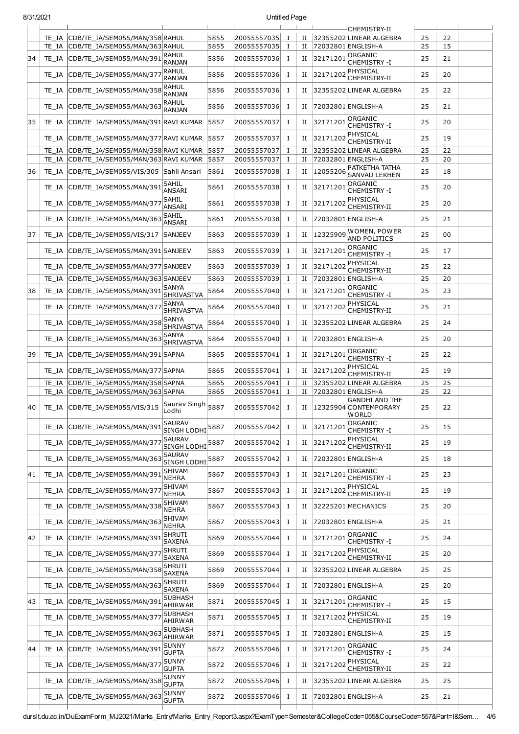## Untitled Page

|    | TE IA | CDB/TE_IA/SEM055/MAN/358 RAHUL                                   |                                       | 5855 | 20055557035                | 1                 | П      |          | <sup>J</sup> CHEMISTRY-II<br>32355202 LINEAR ALGEBRA                 | 25       | 22       |  |
|----|-------|------------------------------------------------------------------|---------------------------------------|------|----------------------------|-------------------|--------|----------|----------------------------------------------------------------------|----------|----------|--|
|    | TE IA | CDB/TE IA/SEM055/MAN/363 RAHUL                                   |                                       | 5855 | 20055557035                | Ι.                | П      |          | 72032801 ENGLISH-A                                                   | 25       | 15       |  |
| 34 | TE IA | CDB/TE_IA/SEM055/MAN/391                                         | RAHUL<br>RANJAN                       | 5856 | 20055557036                | Ι.                | П      | 32171201 | ORGANIC<br><b>CHEMISTRY -I</b>                                       | 25       | 21       |  |
|    | TE IA | CDB/TE IA/SEM055/MAN/37                                          | RAHUL<br>RANJAN                       | 5856 | 20055557036                | Ι.                | П      | 32171202 | PHYSICAL<br>CHEMISTRY-II                                             | 25       | 20       |  |
|    | TE IA | CDB/TE_IA/SEM055/MAN/358                                         | RAHUL<br>RANJAN                       | 5856 | 20055557036                | Ι.                | П      |          | 32355202LINEAR ALGEBRA                                               | 25       | 22       |  |
|    | TE IA | CDB/TE IA/SEM055/MAN/36                                          | RAHUL<br>RANJAN                       | 5856 | 20055557036                | Ι.                | П      |          | 72032801 ENGLISH-A                                                   | 25       | 21       |  |
| 35 | TE IA | CDB/TE IA/SEM055/MAN/391 RAVI KUMAR                              |                                       | 5857 | 20055557037                | Ι.                | П      | 32171201 | ORGANIC<br><b>CHEMISTRY -I</b>                                       | 25       | 20       |  |
|    | TE IA | CDB/TE_IA/SEM055/MAN/377 RAVI KUMAR                              |                                       | 5857 | 20055557037                | Ι.                | П      | 32171202 | PHYSICAL<br>CHEMISTRY-II                                             | 25       | 19       |  |
|    | TE IA | CDB/TE IA/SEM055/MAN/358 RAVI KUMAR                              |                                       | 5857 | 20055557037                | Ι.                | и      |          | 32355202 LINEAR ALGEBRA                                              | 25       | 22       |  |
|    | TE IA | CDB/TE IA/SEM055/MAN/363 RAVI KUMAR                              |                                       | 5857 | 20055557037                | Ι.                | П      |          | 72032801 ENGLISH-A<br>PATKETHA TATHA                                 | 25       | 20       |  |
| 36 | TE IA | CDB/TE_IA/SEM055/VIS/305 Sahil Ansari                            | SAHIL                                 | 5861 | 20055557038                | Ι.                | П      | 12055206 | SANVAD LEKHEN<br>ORGANIC                                             | 25       | 18       |  |
|    | TE IA | CDB/TE IA/SEM055/MAN/391                                         | ANSARI<br>SAHIL                       | 5861 | 20055557038                | Ι.                | П      | 32171201 | <b>CHEMISTRY -I</b><br>PHYSICAL                                      | 25       | 20       |  |
|    | TE IA | CDB/TE_IA/SEM055/MAN/377                                         | ANSARI<br>SAHIL                       | 5861 | 20055557038                | Ι.                | п      | 32171202 | <b>CHEMISTRY-II</b>                                                  | 25       | 20       |  |
|    | TE IA | CDB/TE_IA/SEM055/MAN/363                                         | ANSARI                                | 5861 | 20055557038                | Ι.                | п      |          | 72032801 ENGLISH-A                                                   | 25       | 21       |  |
| 37 | TE IA | CDB/TE IA/SEM055/VIS/317                                         | <b>SANJEEV</b>                        | 5863 | 20055557039                | Ι.                | п      | 12325909 | WOMEN, POWER<br><b>AND POLITICS</b>                                  | 25       | 00       |  |
|    | TE IA | CDB/TE IA/SEM055/MAN/391 SANJEEV                                 |                                       | 5863 | 20055557039                | 1                 | п      | 32171201 | ORGANIC<br><b>CHEMISTRY -I</b>                                       | 25       | 17       |  |
|    | TE IA | CDB/TE IA/SEM055/MAN/377 SANJEEV                                 |                                       | 5863 | 20055557039                | Ι.                | П      | 32171202 | PHYSICAL<br><b>CHEMISTRY-II</b>                                      | 25       | 22       |  |
|    | TE IA | CDB/TE_IA/SEM055/MAN/363 SANJEEV                                 |                                       | 5863 | 20055557039                | 1                 | П      |          | 72032801 ENGLISH-A                                                   | 25       | 20       |  |
| 38 | TE IA | CDB/TE_IA/SEM055/MAN/391                                         | SANYA<br><b>SHRIVASTVA</b>            | 5864 | 20055557040                | Ι.                | П      | 32171201 | ORGANIC<br><b>CHEMISTRY -I</b>                                       | 25       | 23       |  |
|    | TE IA | CDB/TE_IA/SEM055/MAN/371                                         | SANYA<br>SHRIVASTVA                   | 5864 | 20055557040                | 1                 | П      | 32171202 | PHYSICAL<br>CHEMISTRY-II                                             | 25       | 21       |  |
|    | TE IA | CDB/TE_IA/SEM055/MAN/358                                         | SANYA<br>SHRIVASTVA                   | 5864 | 20055557040                | 1                 | П      |          | 32355202LINEAR ALGEBRA                                               | 25       | 24       |  |
|    | TE IA | CDB/TE IA/SEM055/MAN/363                                         | SANYA<br>SHRIVASTVA                   | 5864 | 20055557040                | Ι.                | н      |          | 72032801 ENGLISH-A                                                   | 25       | 20       |  |
| 39 | TE IA | CDB/TE IA/SEM055/MAN/391 SAPNA                                   |                                       | 5865 | 20055557041                | 1                 | п      | 32171201 | ORGANIC<br><b>CHEMISTRY -I</b>                                       | 25       | 22       |  |
|    | TE IA | CDB/TE IA/SEM055/MAN/377 SAPNA                                   |                                       | 5865 | 20055557041                | Ι.                | п      | 32171202 | PHYSICAL<br>CHEMISTRY-II                                             | 25       | 19       |  |
|    | TE IA | CDB/TE_IA/SEM055/MAN/358 SAPNA                                   |                                       | 5865 | 20055557041                | 1                 | п      |          | 32355202 LINEAR ALGEBRA                                              | 25       | 25       |  |
| 40 | TE IA | CDB/TE IA/SEM055/MAN/363 SAPNA<br>TE_IA CDB/TE_IA/SEM055/VIS/315 | Saurav Singh 5887                     | 5865 | 20055557041<br>20055557042 | Ι.<br>$\mathbf I$ | П<br>П |          | 72032801 ENGLISH-A<br><b>GANDHI AND THE</b><br>12325904 CONTEMPORARY | 25<br>25 | 22<br>22 |  |
|    |       |                                                                  | Lodhi<br>SAURAV                       |      |                            |                   |        |          | <b>WORLD</b><br>ORGANIC                                              |          |          |  |
|    | TE IA | CDB/TE_IA/SEM055/MAN/39                                          | SINGH LODHI <sup>5887</sup><br>SAURAV |      | 20055557042                | 1                 | н      | 32171201 | CHEMISTRY -I<br>PHYSICAL                                             | 25       | 15       |  |
|    | TE IA | CDB/TE IA/SEM055/MAN/37                                          | SINGH LODHI <sup>5887</sup><br>SAURAV |      | 20055557042                | 1                 | П      | 32171202 | CHEMISTRY-II                                                         | 25       | 19       |  |
|    | TE IA | CDB/TE_IA/SEM055/MAN/363                                         | SINGH_LODHI <sup>5887</sup><br>SHIVAM |      | 20055557042                | 1                 | П      |          | 72032801 ENGLISH-A<br>ORGANIC                                        | 25       | 18       |  |
| 41 | TE IA | CDB/TE_IA/SEM055/MAN/391                                         | NEHRA<br><b>SHIVAM</b>                | 5867 | 20055557043                | 1                 | П      | 32171201 | <b>CHEMISTRY -I</b><br>PHYSICAL                                      | 25       | 23       |  |
|    | TE IA | CDB/TE_IA/SEM055/MAN/37                                          | NEHRA<br>SHIVAM                       | 5867 | 20055557043                | 1                 | П      | 32171202 | CHEMISTRY-II                                                         | 25       | 19       |  |
|    | TE IA | CDB/TE IA/SEM055/MAN/338                                         | <b>NEHRA</b>                          | 5867 | 20055557043                | 1                 | П      |          | 32225201 MECHANICS                                                   | 25       | 20       |  |
|    | TE IA | CDB/TE_IA/SEM055/MAN/363                                         | SHIVAM<br><b>NEHRA</b>                | 5867 | 20055557043                | 1                 | п      |          | 72032801 ENGLISH-A                                                   | 25       | 21       |  |
| 42 | TE IA | CDB/TE_IA/SEM055/MAN/39.                                         | SHRUTI<br>SAXENA                      | 5869 | 20055557044                | 1                 | п      | 32171201 | ORGANIC<br><b>CHEMISTRY -I</b>                                       | 25       | 24       |  |
|    | TE IA | CDB/TE_IA/SEM055/MAN/37                                          | SHRUTI<br>SAXENA                      | 5869 | 20055557044                | 1                 | п      | 32171202 | PHYSICAL<br><b>CHEMISTRY-II</b>                                      | 25       | 20       |  |
|    | TE IA | CDB/TE_IA/SEM055/MAN/358                                         | SHRUTI<br>SAXENA                      | 5869 | 20055557044                | 1                 | П      |          | 32355202 LINEAR ALGEBRA                                              | 25       | 25       |  |
|    | TE IA | CDB/TE_IA/SEM055/MAN/363                                         | SHRUTI<br>SAXENA                      | 5869 | 20055557044                | 1                 | П      |          | 72032801 ENGLISH-A                                                   | 25       | 20       |  |
| 43 | TE IA | CDB/TE_IA/SEM055/MAN/39:                                         | <b>SUBHASH</b><br><b>AHIRWAR</b>      | 5871 | 20055557045                | Ι.                | П      | 32171201 | ORGANIC<br><b>CHEMISTRY -I</b>                                       | 25       | 15       |  |
|    | TE IA | CDB/TE_IA/SEM055/MAN/37                                          | SUBHASH<br>AHIRW AR                   | 5871 | 20055557045                | Ι.                | П      | 32171202 | PHYSICAL<br><b>CHEMISTRY-II</b>                                      | 25       | 19       |  |
|    | TE IA | CDB/TE_IA/SEM055/MAN/36.                                         | <b>SUBHASH</b><br><b>AHIRWAR</b>      | 5871 | 20055557045                | Ι.                | п      |          | 72032801 ENGLISH-A                                                   | 25       | 15       |  |
| 44 | TE IA | CDB/TE_IA/SEM055/MAN/39                                          | SUNNY<br><b>GUPTA</b>                 | 5872 | 20055557046                | 1                 | П      | 32171201 | ORGANIC<br><b>CHEMISTRY -I</b>                                       | 25       | 24       |  |
|    | TE IA | CDB/TE_IA/SEM055/MAN/37                                          | SUNNY<br><b>GUPTA</b>                 | 5872 | 20055557046                | Ι.                | П      | 32171202 | PHYSICAL<br>CHEMISTRY-II                                             | 25       | 22       |  |
|    | TE_IA | CDB/TE_IA/SEM055/MAN/35                                          | SUNNY<br><b>GUPTA</b>                 | 5872 | 20055557046                | 1                 | н      |          | 32355202 LINEAR ALGEBRA                                              | 25       | 25       |  |
|    | TE_IA | CDB/TE_IA/SEM055/MAN/363                                         | <b>SUNNY</b><br><b>GUPTA</b>          | 5872 | 20055557046                | Ι.                | П      |          | 72032801 ENGLISH-A                                                   | 25       | 21       |  |

durslt.du.ac.in/DuExamForm\_MJ2021/Marks\_Entry/Marks\_Entry\_Report3.aspx?ExamType=Semester&CollegeCode=055&CourseCode=557&Part=I&Sem… 4/6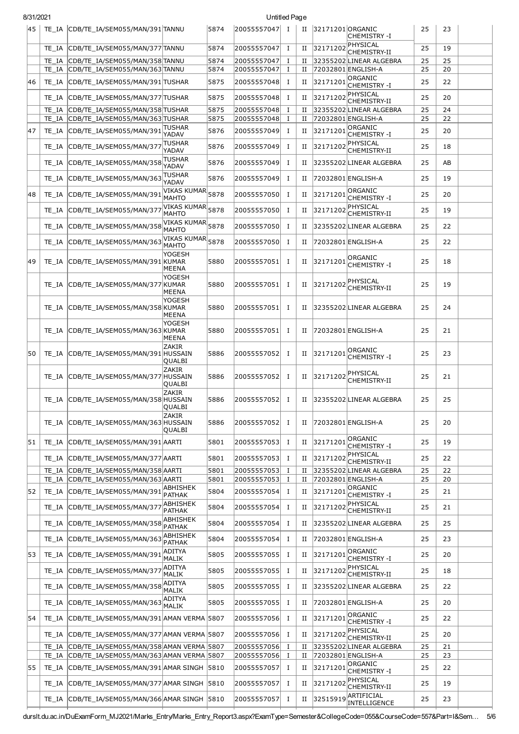| 8/31/2021 |       |                                                                          |                                    |              |                            | Untitled Page  |                      |                     |                                               |          |          |  |
|-----------|-------|--------------------------------------------------------------------------|------------------------------------|--------------|----------------------------|----------------|----------------------|---------------------|-----------------------------------------------|----------|----------|--|
| 45        |       | TE_IA CDB/TE_IA/SEM055/MAN/391 TANNU                                     |                                    | 5874         | 20055557047                | $\bf{I}$       |                      | II 32171201 ORGANIC | <b>CHEMISTRY -I</b>                           | 25       | 23       |  |
|           | TE IA | CDB/TE IA/SEM055/MAN/377 TANNU                                           |                                    | 5874         | 20055557047                | $\bf{I}$       | $_{\rm II}$          | 32171202            | PHYSICAL<br>CHEMISTRY-II                      | 25       | 19       |  |
|           |       | TE_IA CDB/TE_IA/SEM055/MAN/358 TANNU                                     |                                    | 5874         | 20055557047                | 1              | H                    |                     | 32355202LINEAR ALGEBRA                        | 25       | 25       |  |
|           |       | TE IA CDB/TE IA/SEM055/MAN/363 TANNU                                     |                                    | 5874         | 20055557047                | Ι.             | П                    |                     | 72032801 ENGLISH-A<br>ORGANIC                 | 25       | 20       |  |
| 46        | TE IA | CDB/TE_IA/SEM055/MAN/391 TUSHAR                                          |                                    | 5875         | 20055557048                | Ι.             | $_{\rm II}$          | 32171201            | <b>CHEMISTRY -I</b><br>PHYSICAL               | 25       | 22       |  |
|           | TE IA | CDB/TE_IA/SEM055/MAN/377 TUSHAR                                          |                                    | 5875         | 20055557048                | Ι.             | $_{\rm II}$          | 32171202            | CHEMISTRY-II                                  | 25       | 20       |  |
|           | TE IA | CDB/TE_IA/SEM055/MAN/358 TUSHAR<br>TE_IA CDB/TE_IA/SEM055/MAN/363 TUSHAR |                                    | 5875<br>5875 | 20055557048<br>20055557048 | Ι.<br>$\bf{I}$ | П<br>II              |                     | 32355202 LINEAR ALGEBRA<br>72032801 ENGLISH-A | 25<br>25 | 24<br>22 |  |
| 47        | TE IA | CDB/TE IA/SEM055/MAN/391                                                 | TUSHAR                             | 5876         | 20055557049                | Ι.             | П                    | 32171201            | ORGANIC                                       | 25       | 20       |  |
|           | TE IA | CDB/TE_IA/SEM055/MAN/377                                                 | YADAV<br><b>TUSHAR</b>             | 5876         | 20055557049                | $\bf{I}$       | $_{\rm II}$          | 32171202            | <b>CHEMISTRY -I</b><br>PHYSICAL               | 25       | 18       |  |
|           |       |                                                                          | YADAV<br><b>TUSHAR</b>             |              |                            |                |                      |                     | CHEMISTRY-II                                  |          |          |  |
|           | TE IA | CDB/TE_IA/SEM055/MAN/358                                                 | YADAV<br><b>TUSHAR</b>             | 5876         | 20055557049                | $\bf{I}$       | $_{\rm II}$          |                     | 32355202LINEAR ALGEBRA                        | 25       | AB       |  |
|           | TE IA | CDB/TE_IA/SEM055/MAN/363                                                 | YADAV                              | 5876         | 20055557049                | Ι.             | $_{\rm II}$          |                     | 72032801 ENGLISH-A                            | 25       | 19       |  |
| 48        | TE IA | CDB/TE_IA/SEM055/MAN/391                                                 | <b>VIKAS KUMAR</b><br><b>MAHTO</b> | 5878         | 20055557050                | Ι.             | $_{\rm II}$          | 32171201            | ORGANIC<br><b>CHEMISTRY -I</b>                | 25       | 20       |  |
|           | TE IA | CDB/TE_IA/SEM055/MAN/37                                                  | VIKAS KUMAR 5878<br><b>MAHTO</b>   |              | 20055557050                | Ι.             | $_{\rm II}$          | 32171202            | PHYSICAL<br>CHEMISTRY-II                      | 25       | 19       |  |
|           | TE IA | CDB/TE IA/SEM055/MAN/358                                                 | VIKAS KUMAR 5878<br><b>MAHTO</b>   |              | 20055557050                | Ι.             | $_{\rm II}$          |                     | 32355202 LINEAR ALGEBRA                       | 25       | 22       |  |
|           | TE IA | CDB/TE IA/SEM055/MAN/363                                                 | VIKAS KUMAR 5878<br><b>MAHTO</b>   |              | 20055557050                | Ι.             | П                    |                     | 72032801 ENGLISH-A                            | 25       | 22       |  |
| 49        |       | TE_IA CDB/TE_IA/SEM055/MAN/391 KUMAR                                     | <b>YOGESH</b><br><b>MEENA</b>      | 5880         | 20055557051                | Ι.             | $_{\rm II}$          | 32171201            | ORGANIC<br><b>CHEMISTRY -I</b>                | 25       | 18       |  |
|           |       | TE_IA CDB/TE_IA/SEM055/MAN/377 KUMAR                                     | <b>YOGESH</b><br><b>MEENA</b>      | 5880         | 20055557051                | Ι.             | П                    | 32171202            | PHYSICAL<br>CHEMISTRY-II                      | 25       | 19       |  |
|           | TE IA | CDB/TE_IA/SEM055/MAN/358 KUMAR                                           | <b>YOGESH</b><br><b>MEENA</b>      | 5880         | 20055557051                | Ι.             | П                    |                     | 32355202LINEAR ALGEBRA                        | 25       | 24       |  |
|           | TE IA | CDB/TE IA/SEM055/MAN/363 KUMAR                                           | YOGESH<br><b>MEENA</b>             | 5880         | 20055557051                | Ι.             | н                    |                     | 72032801 ENGLISH-A                            | 25       | 21       |  |
| 50        |       | TE IA CDB/TE IA/SEM055/MAN/391 HUSSAIN                                   | <b>ZAKIR</b><br>QUALBI             | 5886         | 20055557052                | Ι.             | $\scriptstyle\rm II$ | 32171201            | ORGANIC<br><b>CHEMISTRY -I</b>                | 25       | 23       |  |
|           | TE IA | CDB/TE IA/SEM055/MAN/377 HUSSAIN                                         | ZAKIR<br>QUALBI                    | 5886         | 20055557052                | 1              | $_{\rm II}$          | 32171202            | PHYSICAL<br>CHEMISTRY-II                      | 25       | 21       |  |
|           |       | TE IA CDB/TE_IA/SEM055/MAN/358 HUSSAIN                                   | <b>ZAKIR</b><br>QUALBI             | 5886         | 20055557052                | Ι.             |                      |                     | II 32355202 LINEAR ALGEBRA                    | 25       | 25       |  |
|           | TE IA | CDB/TE_IA/SEM055/MAN/363 HUSSAIN                                         | ZAKIR<br><b>OUALBI</b>             | 5886         | 20055557052                | Ι.             | П                    |                     | 72032801 ENGLISH-A                            | 25       | 20       |  |
| 51        | TE IA | CDB/TE_IA/SEM055/MAN/391 AARTI                                           |                                    | 5801         | 20055557053                | $\bf{I}$       |                      | II 32171201         | ORGANIC<br><b>CHEMISTRY -I</b>                | 25       | 19       |  |
|           | TE IA | CDB/TE_IA/SEM055/MAN/377 AARTI                                           |                                    | 5801         | 20055557053                | Ι.             | $_{\rm II}$          | 32171202            | PHYSICAL<br>CHEMISTRY-II                      | 25       | 22       |  |
|           |       | TE_IA CDB/TE_IA/SEM055/MAN/358 AARTI                                     |                                    | 5801         | 20055557053                | 1              | П                    |                     | 32355202LINEAR ALGEBRA                        | 25       | 22       |  |
|           |       | TE_IA CDB/TE_IA/SEM055/MAN/363 AARTI                                     | <b>ABHISHEK</b>                    | 5801         | 20055557053                | $\bf{I}$       | II                   |                     | 72032801 ENGLISH-A<br>ORGANIC                 | 25       | 20       |  |
| 52        | TE IA | CDB/TE IA/SEM055/MAN/391                                                 | <b>PATHAK</b>                      | 5804         | 20055557054                | Ι.             | П                    | 32171201            | <b>CHEMISTRY -I</b>                           | 25       | 21       |  |
|           | TE IA | CDB/TE_IA/SEM055/MAN/377                                                 | <b>ABHISHEK</b><br><b>PATHAK</b>   | 5804         | 20055557054                | Ι.             | $_{\rm II}$          | 32171202            | PHYSICAL<br>CHEMISTRY-II                      | 25       | 21       |  |
|           | TE IA | CDB/TE_IA/SEM055/MAN/358                                                 | <b>ABHISHEK</b><br><b>PATHAK</b>   | 5804         | 20055557054                | Ι.             | $_{\rm II}$          |                     | 32355202LINEAR ALGEBRA                        | 25       | 25       |  |
|           |       | TE_IA CDB/TE_IA/SEM055/MAN/363                                           | ABHISHEK<br><b>PATHAK</b>          | 5804         | 20055557054                | $\bf{I}$       | $_{\rm II}$          |                     | 72032801 ENGLISH-A                            | 25       | 23       |  |
| 53        | TE IA | CDB/TE_IA/SEM055/MAN/391                                                 | <b>ADITYA</b><br>MALIK             | 5805         | 20055557055                | $\bf{I}$       | $_{\rm II}$          | 32171201            | ORGANIC<br><b>CHEMISTRY -I</b>                | 25       | 20       |  |
|           | TE IA | CDB/TE_IA/SEM055/MAN/377                                                 | <b>ADITYA</b><br>MALIK             | 5805         | 20055557055                | Ι.             | $_{\rm II}$          | 32171202            | PHYSICAL<br>CHEMISTRY-II                      | 25       | 18       |  |
|           | TE IA | CDB/TE_IA/SEM055/MAN/358                                                 | ADITYA<br>MALIK                    | 5805         | 20055557055                | Ι.             | $\scriptstyle\rm II$ |                     | 32355202 LINEAR ALGEBRA                       | 25       | 22       |  |
|           | TE IA | CDB/TE_IA/SEM055/MAN/363                                                 | ADITYA<br>MALIK                    | 5805         | 20055557055                | Ι.             | $_{\rm II}$          |                     | 72032801 ENGLISH-A                            | 25       | 20       |  |
| 54        | TE IA | CDB/TE IA/SEM055/MAN/391 AMAN VERMA 5807                                 |                                    |              | 20055557056                | Ι.             | $_{\rm II}$          | 32171201            | ORGANIC<br>CHEMISTRY -I                       | 25       | 22       |  |
|           | TE IA | CDB/TE IA/SEM055/MAN/377 AMAN VERMA 5807                                 |                                    |              | 20055557056                | Ι.             | $_{\rm II}$          | 32171202            | PHYSICAL<br>CHEMISTRY-II                      | 25       | 20       |  |
|           |       | TE_IA CDB/TE_IA/SEM055/MAN/358 AMAN VERMA 5807                           |                                    |              | 20055557056                | 1              | H                    |                     | 32355202LINEAR ALGEBRA                        | 25       | 21       |  |
|           |       | TE IA CDB/TE IA/SEM055/MAN/363 AMAN VERMA 5807                           |                                    |              | 20055557056                | Ι              | $_{\rm II}$          |                     | 72032801 ENGLISH-A                            | 25       | 23       |  |
| 55        | TE IA | CDB/TE_IA/SEM055/MAN/391 AMAR SINGH 5810                                 |                                    |              | 20055557057                | Ι.             | $_{\rm II}$          | 32171201            | ORGANIC<br><b>CHEMISTRY -I</b>                | 25       | 22       |  |
|           | TE IA | CDB/TE IA/SEM055/MAN/377 AMAR SINGH 5810                                 |                                    |              | 20055557057                | Ι.             | $_{\rm II}$          | 32171202            | PHYSICAL<br>CHEMISTRY-II                      | 25       | 19       |  |
|           | TE IA | CDB/TE IA/SEM055/MAN/366 AMAR SINGH 5810                                 |                                    |              | 20055557057                | Ι.             | II                   | 32515919            | ARTIFICIAL<br>INTELLIGENCE                    | 25       | 23       |  |

durslt.du.ac.in/DuExamForm\_MJ2021/Marks\_Entry/Marks\_Entry\_Report3.aspx?ExamType=Semester&CollegeCode=055&CourseCode=557&Part=I&Sem… 5/6